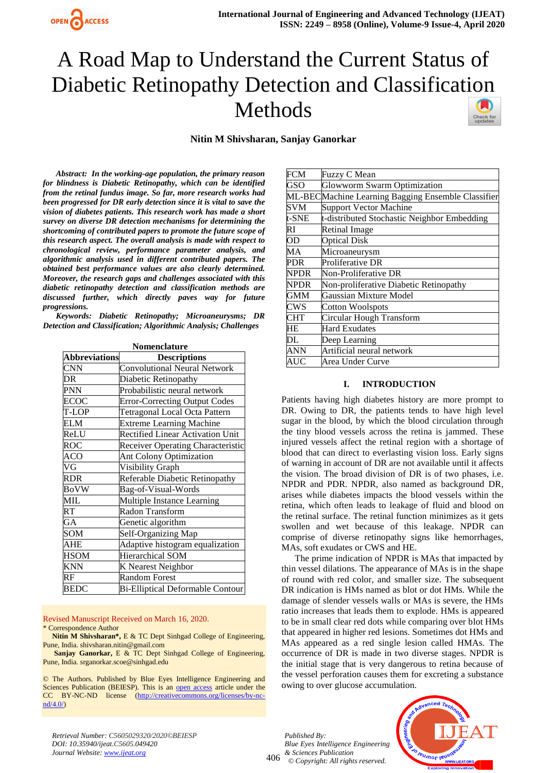

# A Road Map to Understand the Current Status of Diabetic Retinopathy Detection and Classification Methods



**Nitin M Shivsharan, Sanjay Ganorkar**

*Abstract: In the working-age population, the primary reason for blindness is Diabetic Retinopathy, which can be identified from the retinal fundus image. So far, more research works had been progressed for DR early detection since it is vital to save the vision of diabetes patients. This research work has made a short survey on diverse DR detection mechanisms for determining the shortcoming of contributed papers to promote the future scope of this research aspect. The overall analysis is made with respect to chronological review, performance parameter analysis, and algorithmic analysis used in different contributed papers. The obtained best performance values are also clearly determined. Moreover, the research gaps and challenges associated with this diabetic retinopathy detection and classification methods are discussed further, which directly paves way for future progressions.* 

*Keywords: Diabetic Retinopathy; Microaneurysms; DR Detection and Classification; Algorithmic Analysis; Challenges*

| Nomenclature            |                                         |  |  |  |
|-------------------------|-----------------------------------------|--|--|--|
| <b>Abbreviations</b>    | <b>Descriptions</b>                     |  |  |  |
| CNN                     | <b>Convolutional Neural Network</b>     |  |  |  |
| DR                      | Diabetic Retinopathy                    |  |  |  |
| $\overline{\text{PNN}}$ | Probabilistic neural network            |  |  |  |
| ECOC                    | <b>Error-Correcting Output Codes</b>    |  |  |  |
| T-LOP                   | <b>Tetragonal Local Octa Pattern</b>    |  |  |  |
| ELM                     | <b>Extreme Learning Machine</b>         |  |  |  |
| ReLU                    | <b>Rectified Linear Activation Unit</b> |  |  |  |
| ROC                     | Receiver Operating Characteristic       |  |  |  |
| <b>ACO</b>              | Ant Colony Optimization                 |  |  |  |
| VG                      | Visibility Graph                        |  |  |  |
| <b>RDR</b>              | Referable Diabetic Retinopathy          |  |  |  |
| <b>BoVW</b>             | Bag-of-Visual-Words                     |  |  |  |
| MIL                     | Multiple Instance Learning              |  |  |  |
| RT                      | Radon Transform                         |  |  |  |
| GA                      | Genetic algorithm                       |  |  |  |
| <b>SOM</b>              | Self-Organizing Map                     |  |  |  |
| AHE                     | Adaptive histogram equalization         |  |  |  |
| <b>HSOM</b>             | Hierarchical SOM                        |  |  |  |
| <b>KNN</b>              | K Nearest Neighbor                      |  |  |  |
| RF                      | <b>Random Forest</b>                    |  |  |  |
| <b>BEDC</b>             | Bi-Elliptical Deformable Contour        |  |  |  |

Revised Manuscript Received on March 16, 2020. \* Correspondence Author

**Nitin M Shivsharan\*,** E & TC Dept Sinhgad College of Engineering, Pune, India. shivsharan.nitin@gmail.com

**Sanjay Ganorkar,** E & TC Dept Sinhgad College of Engineering, Pune, India[. srganorkar.scoe@sinhgad.edu](mailto:srganorkar.scoe@sinhgad.edu)

© The Authors. Published by Blue Eyes Intelligence Engineering and Sciences Publication (BEIESP). This is an [open access](https://www.openaccess.nl/en/open-publications) article under the CC BY-NC-ND license [\(http://creativecommons.org/licenses/by-nc](http://creativecommons.org/licenses/by-nc-nd/4.0/)[nd/4.0/\)](http://creativecommons.org/licenses/by-nc-nd/4.0/)

| <b>FCM</b>  | Fuzzy C Mean                                       |
|-------------|----------------------------------------------------|
| GSO         | Glowworm Swarm Optimization                        |
|             | ML-BECMachine Learning Bagging Ensemble Classifier |
| SVM         | <b>Support Vector Machine</b>                      |
| t-SNE       | t-distributed Stochastic Neighbor Embedding        |
| RI          | <b>Retinal Image</b>                               |
| <b>OD</b>   | <b>Optical Disk</b>                                |
| MA          | Microaneurysm                                      |
| PDR         | Proliferative DR                                   |
| <b>NPDR</b> | Non-Proliferative DR                               |
| <b>NPDR</b> | Non-proliferative Diabetic Retinopathy             |
| GMM         | Gaussian Mixture Model                             |
| CWS         | Cotton Woolspots                                   |
| <b>CHT</b>  | Circular Hough Transform                           |
| HЕ          | <b>Hard Exudates</b>                               |
| DL.         | Deep Learning                                      |
| ANN         | Artificial neural network                          |
| AUC         | Area Under Curve                                   |

#### **I. INTRODUCTION**

Patients having high diabetes history are more prompt to DR. Owing to DR, the patients tends to have high level sugar in the blood, by which the blood circulation through the tiny blood vessels across the retina is jammed. These injured vessels affect the retinal region with a shortage of blood that can direct to everlasting vision loss. Early signs of warning in account of DR are not available until it affects the vision. The broad division of DR is of two phases, i.e. NPDR and PDR. NPDR, also named as background DR, arises while diabetes impacts the blood vessels within the retina, which often leads to leakage of fluid and blood on the retinal surface. The retinal function minimizes as it gets swollen and wet because of this leakage. NPDR can comprise of diverse retinopathy signs like hemorrhages, MAs, soft exudates or CWS and HE.

The prime indication of NPDR is MAs that impacted by thin vessel dilations. The appearance of MAs is in the shape of round with red color, and smaller size. The subsequent DR indication is HMs named as blot or dot HMs. While the damage of slender vessels walls or MAs is severe, the HMs ratio increases that leads them to explode. HMs is appeared to be in small clear red dots while comparing over blot HMs that appeared in higher red lesions. Sometimes dot HMs and MAs appeared as a red single lesion called HMAs. The occurrence of DR is made in two diverse stages. NPDR is the initial stage that is very dangerous to retina because of the vessel perforation causes them for excreting a substance owing to over glucose accumulation.

*Retrieval Number: C5605029320/2020©BEIESP DOI: 10.35940/ijeat.C5605.049420 Journal Website: www.ijeat.org*

406 *Published By: Blue Eyes Intelligence Engineering & Sciences Publication © Copyright: All rights reserved.*

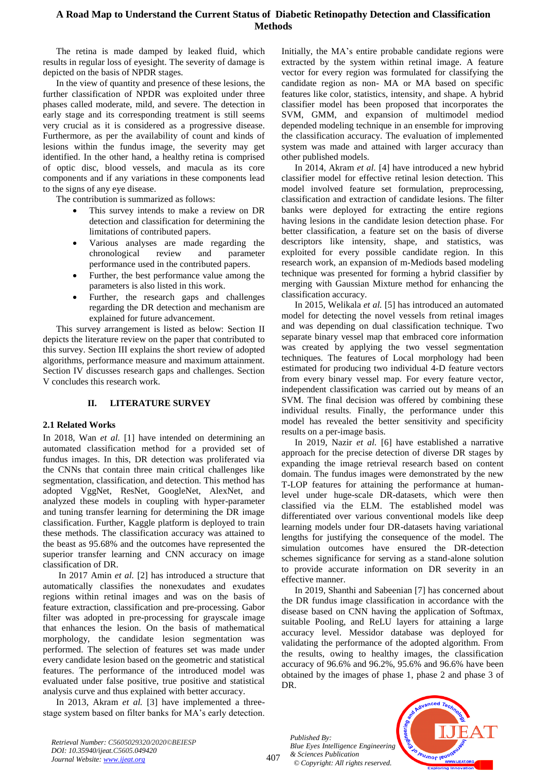# **A Road Map to Understand the Current Status of Diabetic Retinopathy Detection and Classification Methods**

The retina is made damped by leaked fluid, which results in regular loss of eyesight. The severity of damage is depicted on the basis of NPDR stages.

In the view of quantity and presence of these lesions, the further classification of NPDR was exploited under three phases called moderate, mild, and severe. The detection in early stage and its corresponding treatment is still seems very crucial as it is considered as a progressive disease. Furthermore, as per the availability of count and kinds of lesions within the fundus image, the severity may get identified. In the other hand, a healthy retina is comprised of optic disc, blood vessels, and macula as its core components and if any variations in these components lead to the signs of any eye disease.

The contribution is summarized as follows:

- This survey intends to make a review on DR detection and classification for determining the limitations of contributed papers.
- Various analyses are made regarding the chronological review and parameter performance used in the contributed papers.
- Further, the best performance value among the parameters is also listed in this work.
- Further, the research gaps and challenges regarding the DR detection and mechanism are explained for future advancement.

This survey arrangement is listed as below: Section II depicts the literature review on the paper that contributed to this survey. Section III explains the short review of adopted algorithms, performance measure and maximum attainment. Section IV discusses research gaps and challenges. Section V concludes this research work.

## **II. LITERATURE SURVEY**

## **2.1 Related Works**

In 2018, Wan *et al.* [1] have intended on determining an automated classification method for a provided set of fundus images. In this, DR detection was proliferated via the CNNs that contain three main critical challenges like segmentation, classification, and detection. This method has adopted VggNet, ResNet, GoogleNet, AlexNet, and analyzed these models in coupling with hyper-parameter and tuning transfer learning for determining the DR image classification. Further, Kaggle platform is deployed to train these methods. The classification accuracy was attained to the beast as 95.68% and the outcomes have represented the superior transfer learning and CNN accuracy on image classification of DR.

In 2017 Amin *et al.* [2] has introduced a structure that automatically classifies the nonexudates and exudates regions within retinal images and was on the basis of feature extraction, classification and pre-processing. Gabor filter was adopted in pre-processing for grayscale image that enhances the lesion. On the basis of mathematical morphology, the candidate lesion segmentation was performed. The selection of features set was made under every candidate lesion based on the geometric and statistical features. The performance of the introduced model was evaluated under false positive, true positive and statistical analysis curve and thus explained with better accuracy.

In 2013, Akram *et al.* [3] have implemented a threestage system based on filter banks for MA's early detection. Initially, the MA's entire probable candidate regions were extracted by the system within retinal image. A feature vector for every region was formulated for classifying the candidate region as non- MA or MA based on specific features like color, statistics, intensity, and shape. A hybrid classifier model has been proposed that incorporates the SVM, GMM, and expansion of multimodel mediod depended modeling technique in an ensemble for improving the classification accuracy. The evaluation of implemented system was made and attained with larger accuracy than other published models.

In 2014, Akram *et al.* [4] have introduced a new hybrid classifier model for effective retinal lesion detection. This model involved feature set formulation, preprocessing, classification and extraction of candidate lesions. The filter banks were deployed for extracting the entire regions having lesions in the candidate lesion detection phase. For better classification, a feature set on the basis of diverse descriptors like intensity, shape, and statistics, was exploited for every possible candidate region. In this research work, an expansion of m-Mediods based modeling technique was presented for forming a hybrid classifier by merging with Gaussian Mixture method for enhancing the classification accuracy.

In 2015, Welikala *et al.* [5] has introduced an automated model for detecting the novel vessels from retinal images and was depending on dual classification technique. Two separate binary vessel map that embraced core information was created by applying the two vessel segmentation techniques. The features of Local morphology had been estimated for producing two individual 4-D feature vectors from every binary vessel map. For every feature vector, independent classification was carried out by means of an SVM. The final decision was offered by combining these individual results. Finally, the performance under this model has revealed the better sensitivity and specificity results on a per-image basis.

In 2019, Nazir *et al.* [6] have established a narrative approach for the precise detection of diverse DR stages by expanding the image retrieval research based on content domain. The fundus images were demonstrated by the new T-LOP features for attaining the performance at humanlevel under huge-scale DR-datasets, which were then classified via the ELM. The established model was differentiated over various conventional models like deep learning models under four DR-datasets having variational lengths for justifying the consequence of the model. The simulation outcomes have ensured the DR-detection schemes significance for serving as a stand-alone solution to provide accurate information on DR severity in an effective manner.

In 2019, Shanthi and Sabeenian [7] has concerned about the DR fundus image classification in accordance with the disease based on CNN having the application of Softmax, suitable Pooling, and ReLU layers for attaining a large accuracy level. Messidor database was deployed for validating the performance of the adopted algorithm. From the results, owing to healthy images, the classification accuracy of 96.6% and 96.2%, 95.6% and 96.6% have been obtained by the images of phase 1, phase 2 and phase 3 of DR.

*Published By: Blue Eyes Intelligence Engineering & Sciences Publication © Copyright: All rights reserved.*

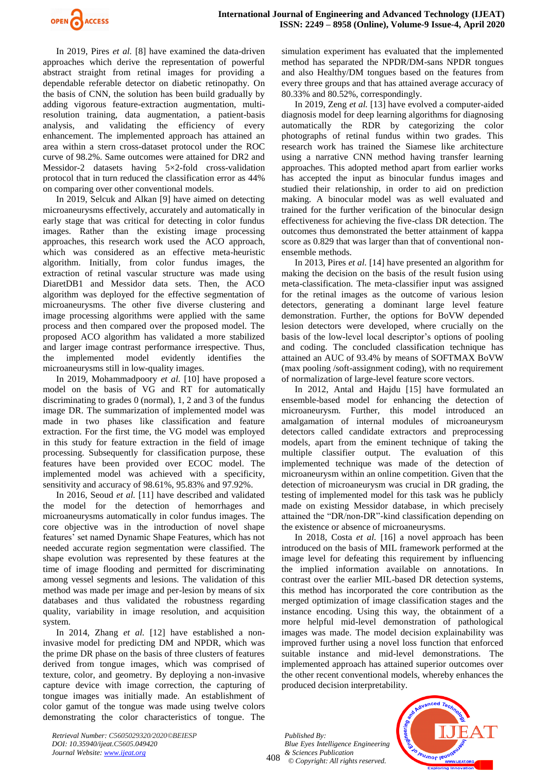

In 2019, Pires *et al.* [8] have examined the data-driven approaches which derive the representation of powerful abstract straight from retinal images for providing a dependable referable detector on diabetic retinopathy. On the basis of CNN, the solution has been build gradually by adding vigorous feature-extraction augmentation, multiresolution training, data augmentation, a patient-basis analysis, and validating the efficiency of every enhancement. The implemented approach has attained an area within a stern cross-dataset protocol under the ROC curve of 98.2%. Same outcomes were attained for DR2 and Messidor-2 datasets having 5×2-fold cross-validation protocol that in turn reduced the classification error as 44% on comparing over other conventional models.

In 2019, Selcuk and Alkan [9] have aimed on detecting microaneurysms effectively, accurately and automatically in early stage that was critical for detecting in color fundus images. Rather than the existing image processing approaches, this research work used the ACO approach, which was considered as an effective meta-heuristic algorithm. Initially, from color fundus images, the extraction of retinal vascular structure was made using DiaretDB1 and Messidor data sets. Then, the ACO algorithm was deployed for the effective segmentation of microaneurysms. The other five diverse clustering and image processing algorithms were applied with the same process and then compared over the proposed model. The proposed ACO algorithm has validated a more stabilized and larger image contrast performance irrespective. Thus, the implemented model evidently identifies the microaneurysms still in low-quality images.

In 2019, Mohammadpoory *et al.* [10] have proposed a model on the basis of VG and RT for automatically discriminating to grades 0 (normal), 1, 2 and 3 of the fundus image DR. The summarization of implemented model was made in two phases like classification and feature extraction. For the first time, the VG model was employed in this study for feature extraction in the field of image processing. Subsequently for classification purpose, these features have been provided over ECOC model. The implemented model was achieved with a specificity, sensitivity and accuracy of 98.61%, 95.83% and 97.92%.

In 2016, Seoud *et al.* [11] have described and validated the model for the detection of hemorrhages and microaneurysms automatically in color fundus images. The core objective was in the introduction of novel shape features' set named Dynamic Shape Features, which has not needed accurate region segmentation were classified. The shape evolution was represented by these features at the time of image flooding and permitted for discriminating among vessel segments and lesions. The validation of this method was made per image and per-lesion by means of six databases and thus validated the robustness regarding quality, variability in image resolution, and acquisition system.

In 2014, Zhang *et al.* [12] have established a noninvasive model for predicting DM and NPDR, which was the prime DR phase on the basis of three clusters of features derived from tongue images, which was comprised of texture, color, and geometry. By deploying a non-invasive capture device with image correction, the capturing of tongue images was initially made. An establishment of color gamut of the tongue was made using twelve colors demonstrating the color characteristics of tongue. The

simulation experiment has evaluated that the implemented method has separated the NPDR/DM-sans NPDR tongues and also Healthy/DM tongues based on the features from every three groups and that has attained average accuracy of 80.33% and 80.52%, correspondingly.

In 2019, Zeng *et al.* [13] have evolved a computer-aided diagnosis model for deep learning algorithms for diagnosing automatically the RDR by categorizing the color photographs of retinal fundus within two grades. This research work has trained the Siamese like architecture using a narrative CNN method having transfer learning approaches. This adopted method apart from earlier works has accepted the input as binocular fundus images and studied their relationship, in order to aid on prediction making. A binocular model was as well evaluated and trained for the further verification of the binocular design effectiveness for achieving the five-class DR detection. The outcomes thus demonstrated the better attainment of kappa score as 0.829 that was larger than that of conventional nonensemble methods.

In 2013, Pires *et al.* [14] have presented an algorithm for making the decision on the basis of the result fusion using meta-classification. The meta-classifier input was assigned for the retinal images as the outcome of various lesion detectors, generating a dominant large level feature demonstration. Further, the options for BoVW depended lesion detectors were developed, where crucially on the basis of the low-level local descriptor's options of pooling and coding. The concluded classification technique has attained an AUC of 93.4% by means of SOFTMAX BoVW (max pooling /soft-assignment coding), with no requirement of normalization of large-level feature score vectors.

In 2012, Antal and Hajdu [15] have formulated an ensemble-based model for enhancing the detection of microaneurysm. Further, this model introduced an amalgamation of internal modules of microaneurysm detectors called candidate extractors and preprocessing models, apart from the eminent technique of taking the multiple classifier output. The evaluation of this implemented technique was made of the detection of microaneurysm within an online competition. Given that the detection of microaneurysm was crucial in DR grading, the testing of implemented model for this task was he publicly made on existing Messidor database, in which precisely attained the "DR/non-DR"-kind classification depending on the existence or absence of microaneurysms.

In 2018, Costa *et al.* [16] a novel approach has been introduced on the basis of MIL framework performed at the image level for defeating this requirement by influencing the implied information available on annotations. In contrast over the earlier MIL-based DR detection systems, this method has incorporated the core contribution as the merged optimization of image classification stages and the instance encoding. Using this way, the obtainment of a more helpful mid-level demonstration of pathological images was made. The model decision explainability was improved further using a novel loss function that enforced suitable instance and mid-level demonstrations. The implemented approach has attained superior outcomes over the other recent conventional models, whereby enhances the produced decision interpretability.

408 *Published By: Blue Eyes Intelligence Engineering & Sciences Publication © Copyright: All rights reserved.*

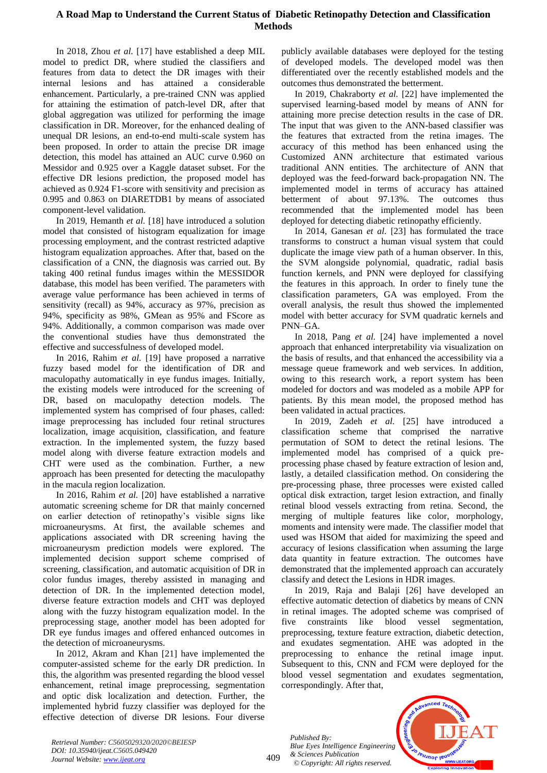# **A Road Map to Understand the Current Status of Diabetic Retinopathy Detection and Classification Methods**

In 2018, Zhou *et al.* [17] have established a deep MIL model to predict DR, where studied the classifiers and features from data to detect the DR images with their internal lesions and has attained a considerable enhancement. Particularly, a pre-trained CNN was applied for attaining the estimation of patch-level DR, after that global aggregation was utilized for performing the image classification in DR. Moreover, for the enhanced dealing of unequal DR lesions, an end-to-end multi-scale system has been proposed. In order to attain the precise DR image detection, this model has attained an AUC curve 0.960 on Messidor and 0.925 over a Kaggle dataset subset. For the effective DR lesions prediction, the proposed model has achieved as 0.924 F1-score with sensitivity and precision as 0.995 and 0.863 on DIARETDB1 by means of associated component-level validation.

In 2019, Hemanth *et al.* [18] have introduced a solution model that consisted of histogram equalization for image processing employment, and the contrast restricted adaptive histogram equalization approaches. After that, based on the classification of a CNN, the diagnosis was carried out. By taking 400 retinal fundus images within the MESSIDOR database, this model has been verified. The parameters with average value performance has been achieved in terms of sensitivity (recall) as 94%, accuracy as 97%, precision as 94%, specificity as 98%, GMean as 95% and FScore as 94%. Additionally, a common comparison was made over the conventional studies have thus demonstrated the effective and successfulness of developed model.

In 2016, Rahim *et al.* [19] have proposed a narrative fuzzy based model for the identification of DR and maculopathy automatically in eye fundus images. Initially, the existing models were introduced for the screening of DR, based on maculopathy detection models. The implemented system has comprised of four phases, called: image preprocessing has included four retinal structures localization, image acquisition, classification, and feature extraction. In the implemented system, the fuzzy based model along with diverse feature extraction models and CHT were used as the combination. Further, a new approach has been presented for detecting the maculopathy in the macula region localization.

In 2016, Rahim *et al.* [20] have established a narrative automatic screening scheme for DR that mainly concerned on earlier detection of retinopathy's visible signs like microaneurysms. At first, the available schemes and applications associated with DR screening having the microaneurysm prediction models were explored. The implemented decision support scheme comprised of screening, classification, and automatic acquisition of DR in color fundus images, thereby assisted in managing and detection of DR. In the implemented detection model, diverse feature extraction models and CHT was deployed along with the fuzzy histogram equalization model. In the preprocessing stage, another model has been adopted for DR eye fundus images and offered enhanced outcomes in the detection of microaneurysms.

In 2012, Akram and Khan [21] have implemented the computer-assisted scheme for the early DR prediction. In this, the algorithm was presented regarding the blood vessel enhancement, retinal image preprocessing, segmentation and optic disk localization and detection. Further, the implemented hybrid fuzzy classifier was deployed for the effective detection of diverse DR lesions. Four diverse publicly available databases were deployed for the testing of developed models. The developed model was then differentiated over the recently established models and the outcomes thus demonstrated the betterment.

In 2019, Chakraborty *et al.* [22] have implemented the supervised learning-based model by means of ANN for attaining more precise detection results in the case of DR. The input that was given to the ANN-based classifier was the features that extracted from the retina images. The accuracy of this method has been enhanced using the Customized ANN architecture that estimated various traditional ANN entities. The architecture of ANN that deployed was the feed-forward back-propagation NN. The implemented model in terms of accuracy has attained betterment of about 97.13%. The outcomes thus recommended that the implemented model has been deployed for detecting diabetic retinopathy efficiently.

In 2014, Ganesan *et al.* [23] has formulated the trace transforms to construct a human visual system that could duplicate the image view path of a human observer. In this, the SVM alongside polynomial, quadratic, radial basis function kernels, and PNN were deployed for classifying the features in this approach. In order to finely tune the classification parameters, GA was employed. From the overall analysis, the result thus showed the implemented model with better accuracy for SVM quadratic kernels and PNN–GA.

In 2018, Pang *et al.* [24] have implemented a novel approach that enhanced interpretability via visualization on the basis of results, and that enhanced the accessibility via a message queue framework and web services. In addition, owing to this research work, a report system has been modeled for doctors and was modeled as a mobile APP for patients. By this mean model, the proposed method has been validated in actual practices.

In 2019, Zadeh *et al.* [25] have introduced a classification scheme that comprised the narrative permutation of SOM to detect the retinal lesions. The implemented model has comprised of a quick preprocessing phase chased by feature extraction of lesion and, lastly, a detailed classification method. On considering the pre-processing phase, three processes were existed called optical disk extraction, target lesion extraction, and finally retinal blood vessels extracting from retina. Second, the merging of multiple features like color, morphology, moments and intensity were made. The classifier model that used was HSOM that aided for maximizing the speed and accuracy of lesions classification when assuming the large data quantity in feature extraction. The outcomes have demonstrated that the implemented approach can accurately classify and detect the Lesions in HDR images.

In 2019, Raja and Balaji [26] have developed an effective automatic detection of diabetics by means of CNN in retinal images. The adopted scheme was comprised of five constraints like blood vessel segmentation, preprocessing, texture feature extraction, diabetic detection, and exudates segmentation. AHE was adopted in the preprocessing to enhance the retinal image input. Subsequent to this, CNN and FCM were deployed for the blood vessel segmentation and exudates segmentation, correspondingly. After that,

*Published By: Blue Eyes Intelligence Engineering & Sciences Publication © Copyright: All rights reserved.*

409

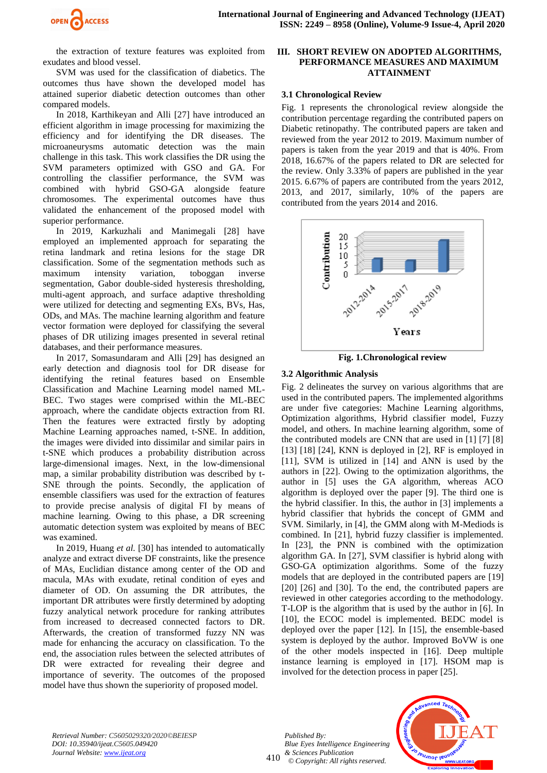

the extraction of texture features was exploited from exudates and blood vessel.

SVM was used for the classification of diabetics. The outcomes thus have shown the developed model has attained superior diabetic detection outcomes than other compared models.

In 2018, Karthikeyan and Alli [27] have introduced an efficient algorithm in image processing for maximizing the efficiency and for identifying the DR diseases. The microaneurysms automatic detection was the main challenge in this task. This work classifies the DR using the SVM parameters optimized with GSO and GA. For controlling the classifier performance, the SVM was combined with hybrid GSO-GA alongside feature chromosomes. The experimental outcomes have thus validated the enhancement of the proposed model with superior performance.

In 2019, Karkuzhali and Manimegali [28] have employed an implemented approach for separating the retina landmark and retina lesions for the stage DR classification. Some of the segmentation methods such as maximum intensity variation, toboggan inverse segmentation, Gabor double-sided hysteresis thresholding, multi-agent approach, and surface adaptive thresholding were utilized for detecting and segmenting EXs, BVs, Has, ODs, and MAs. The machine learning algorithm and feature vector formation were deployed for classifying the several phases of DR utilizing images presented in several retinal databases, and their performance measures.

In 2017, Somasundaram and Alli [29] has designed an early detection and diagnosis tool for DR disease for identifying the retinal features based on Ensemble Classification and Machine Learning model named ML-BEC. Two stages were comprised within the ML-BEC approach, where the candidate objects extraction from RI. Then the features were extracted firstly by adopting Machine Learning approaches named, t-SNE. In addition, the images were divided into dissimilar and similar pairs in t-SNE which produces a probability distribution across large-dimensional images. Next, in the low-dimensional map, a similar probability distribution was described by t-SNE through the points. Secondly, the application of ensemble classifiers was used for the extraction of features to provide precise analysis of digital FI by means of machine learning. Owing to this phase, a DR screening automatic detection system was exploited by means of BEC was examined.

In 2019, Huang *et al.* [30] has intended to automatically analyze and extract diverse DF constraints, like the presence of MAs, Euclidian distance among center of the OD and macula, MAs with exudate, retinal condition of eyes and diameter of OD. On assuming the DR attributes, the important DR attributes were firstly determined by adopting fuzzy analytical network procedure for ranking attributes from increased to decreased connected factors to DR. Afterwards, the creation of transformed fuzzy NN was made for enhancing the accuracy on classification. To the end, the association rules between the selected attributes of DR were extracted for revealing their degree and importance of severity. The outcomes of the proposed model have thus shown the superiority of proposed model.

#### **III. SHORT REVIEW ON ADOPTED ALGORITHMS, PERFORMANCE MEASURES AND MAXIMUM ATTAINMENT**

#### **3.1 Chronological Review**

Fig. 1 represents the chronological review alongside the contribution percentage regarding the contributed papers on Diabetic retinopathy. The contributed papers are taken and reviewed from the year 2012 to 2019. Maximum number of papers is taken from the year 2019 and that is 40%. From 2018, 16.67% of the papers related to DR are selected for the review. Only 3.33% of papers are published in the year 2015. 6.67% of papers are contributed from the years 2012, 2013, and 2017, similarly, 10% of the papers are contributed from the years 2014 and 2016.



**Fig. 1.Chronological review**

## **3.2 Algorithmic Analysis**

Fig. 2 delineates the survey on various algorithms that are used in the contributed papers. The implemented algorithms are under five categories: Machine Learning algorithms, Optimization algorithms, Hybrid classifier model, Fuzzy model, and others. In machine learning algorithm, some of the contributed models are CNN that are used in [1] [7] [8]  $[13]$   $[18]$   $[24]$ , KNN is deployed in  $[2]$ , RF is employed in [11], SVM is utilized in [14] and ANN is used by the authors in [22]. Owing to the optimization algorithms, the author in [5] uses the GA algorithm, whereas ACO algorithm is deployed over the paper [9]. The third one is the hybrid classifier. In this, the author in [3] implements a hybrid classifier that hybrids the concept of GMM and SVM. Similarly, in [4], the GMM along with M-Mediods is combined. In [21], hybrid fuzzy classifier is implemented. In [23], the PNN is combined with the optimization algorithm GA. In [27], SVM classifier is hybrid along with GSO-GA optimization algorithms. Some of the fuzzy models that are deployed in the contributed papers are [19] [20] [26] and [30]. To the end, the contributed papers are reviewed in other categories according to the methodology. T-LOP is the algorithm that is used by the author in [6]. In [10], the ECOC model is implemented. BEDC model is deployed over the paper [12]. In [15], the ensemble-based system is deployed by the author. Improved BoVW is one of the other models inspected in [16]. Deep multiple instance learning is employed in [17]. HSOM map is involved for the detection process in paper [25].

*Retrieval Number: C5605029320/2020©BEIESP DOI: 10.35940/ijeat.C5605.049420 Journal Website: www.ijeat.org*

410 *Published By: Blue Eyes Intelligence Engineering & Sciences Publication © Copyright: All rights reserved.*

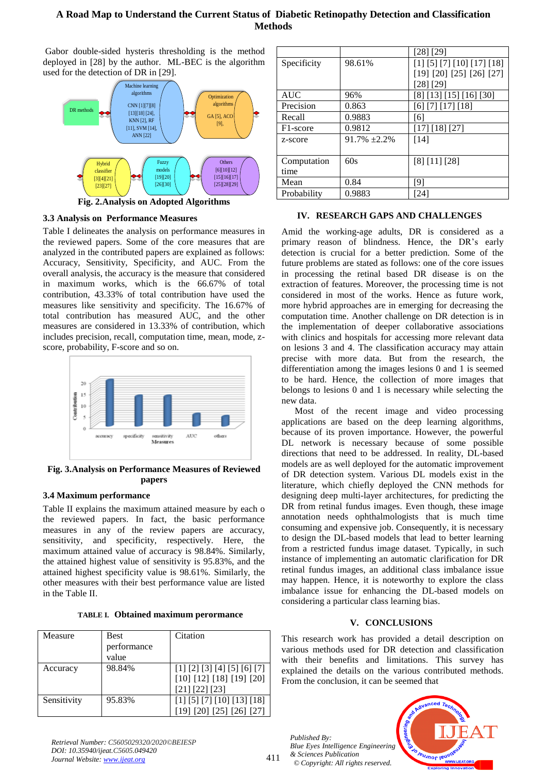# **A Road Map to Understand the Current Status of Diabetic Retinopathy Detection and Classification Methods**

Gabor double-sided hysteris thresholding is the method deployed in [28] by the author. ML-BEC is the algorithm used for the detection of DR in [29].



**Fig. 2.Analysis on Adopted Algorithms** 

## **3.3 Analysis on Performance Measures**

Table I delineates the analysis on performance measures in the reviewed papers. Some of the core measures that are analyzed in the contributed papers are explained as follows: Accuracy, Sensitivity, Specificity, and AUC. From the overall analysis, the accuracy is the measure that considered in maximum works, which is the 66.67% of total contribution, 43.33% of total contribution have used the measures like sensitivity and specificity. The 16.67% of total contribution has measured AUC, and the other measures are considered in 13.33% of contribution, which includes precision, recall, computation time, mean, mode, zscore, probability, F-score and so on.



**Fig. 3.Analysis on Performance Measures of Reviewed papers** 

# **3.4 Maximum performance**

Table II explains the maximum attained measure by each o the reviewed papers. In fact, the basic performance measures in any of the review papers are accuracy, sensitivity, and specificity, respectively. Here, the maximum attained value of accuracy is 98.84%. Similarly, the attained highest value of sensitivity is 95.83%, and the attained highest specificity value is 98.61%. Similarly, the other measures with their best performance value are listed in the Table II.

|  |  |  | <b>TABLE I. Obtained maximum perormance</b> |
|--|--|--|---------------------------------------------|
|--|--|--|---------------------------------------------|

| Measure     | <b>Best</b><br>performance<br>value | Citation                                                                  |
|-------------|-------------------------------------|---------------------------------------------------------------------------|
| Accuracy    | 98.84%                              | [1] [2] [3] [4] [5] [6] [7]<br>[10] [12] [18] [19] [20]<br>[21] [22] [23] |
| Sensitivity | 95.83%                              | [1] [5] [7] [10] [13] [18]<br>[20] [25] [26] [27]                         |

|             |                      | [28] [29]                  |
|-------------|----------------------|----------------------------|
| Specificity | 98.61%               | [1] [5] [7] [10] [17] [18] |
|             |                      | [19] [20] [25] [26] [27]   |
|             |                      | [28] [29]                  |
| <b>AUC</b>  | 96%                  | [8] [13] [15] [16] [30]    |
| Precision   | 0.863                | [6] [7] [17] [18]          |
| Recall      | 0.9883               | [6]                        |
| F1-score    | 0.9812               | [17] [18] [27]             |
| z-score     | $91.7\%$ $\pm 2.2\%$ | $[14]$                     |
|             |                      |                            |
| Computation | 60s                  | [8] [11] [28]              |
| time        |                      |                            |
| Mean        | 0.84                 | [9]                        |
| Probability | 0.9883               | [24]                       |

## **IV. RESEARCH GAPS AND CHALLENGES**

Amid the working-age adults, DR is considered as a primary reason of blindness. Hence, the DR's early detection is crucial for a better prediction. Some of the future problems are stated as follows: one of the core issues in processing the retinal based DR disease is on the extraction of features. Moreover, the processing time is not considered in most of the works. Hence as future work, more hybrid approaches are in emerging for decreasing the computation time. Another challenge on DR detection is in the implementation of deeper collaborative associations with clinics and hospitals for accessing more relevant data on lesions 3 and 4. The classification accuracy may attain precise with more data. But from the research, the differentiation among the images lesions 0 and 1 is seemed to be hard. Hence, the collection of more images that belongs to lesions 0 and 1 is necessary while selecting the new data.

Most of the recent image and video processing applications are based on the deep learning algorithms, because of its proven importance. However, the powerful DL network is necessary because of some possible directions that need to be addressed. In reality, DL-based models are as well deployed for the automatic improvement of DR detection system. Various DL models exist in the literature, which chiefly deployed the CNN methods for designing deep multi-layer architectures, for predicting the DR from retinal fundus images. Even though, these image annotation needs ophthalmologists that is much time consuming and expensive job. Consequently, it is necessary to design the DL-based models that lead to better learning from a restricted fundus image dataset. Typically, in such instance of implementing an automatic clarification for DR retinal fundus images, an additional class imbalance issue may happen. Hence, it is noteworthy to explore the class imbalance issue for enhancing the DL-based models on considering a particular class learning bias.

# **V. CONCLUSIONS**

This research work has provided a detail description on various methods used for DR detection and classification with their benefits and limitations. This survey has explained the details on the various contributed methods. From the conclusion, it can be seemed that

*Published By: Blue Eyes Intelligence Engineering & Sciences Publication © Copyright: All rights reserved.*